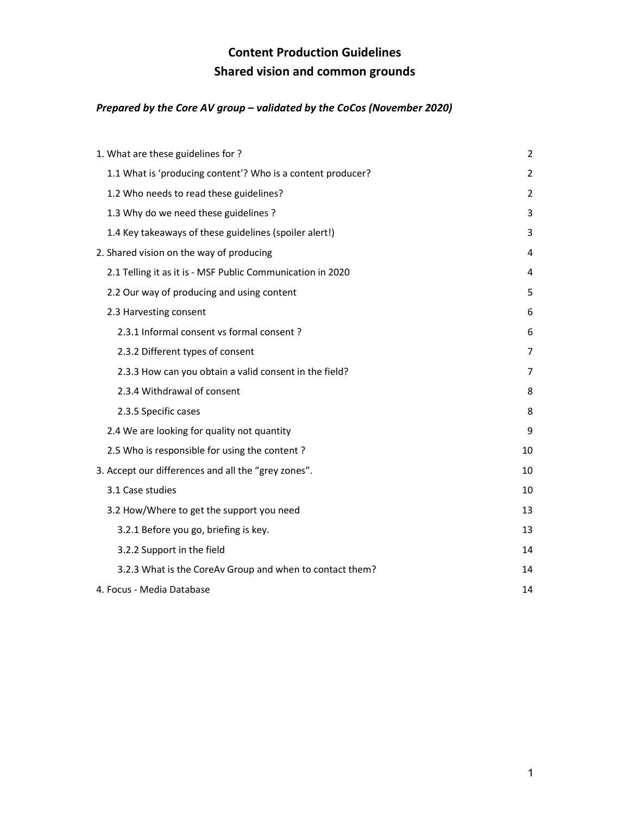# Content Production Guidelines Shared vision and common grounds

## Prepared by the Core AV group – validated by the CoCos (November 2020)

| 1. What are these guidelines for ?                          | 2              |
|-------------------------------------------------------------|----------------|
| 1.1 What is 'producing content'? Who is a content producer? | $\overline{2}$ |
| 1.2 Who needs to read these guidelines?                     | $\overline{2}$ |
| 1.3 Why do we need these guidelines ?                       | 3              |
| 1.4 Key takeaways of these guidelines (spoiler alert!)      | 3              |
| 2. Shared vision on the way of producing                    | 4              |
| 2.1 Telling it as it is - MSF Public Communication in 2020  | 4              |
| 2.2 Our way of producing and using content                  | 5              |
| 2.3 Harvesting consent                                      | 6              |
| 2.3.1 Informal consent vs formal consent?                   | 6              |
| 2.3.2 Different types of consent                            | 7              |
| 2.3.3 How can you obtain a valid consent in the field?      | 7              |
| 2.3.4 Withdrawal of consent                                 | 8              |
| 2.3.5 Specific cases                                        | 8              |
| 2.4 We are looking for quality not quantity                 | 9              |
| 2.5 Who is responsible for using the content?               | 10             |
| 3. Accept our differences and all the "grey zones".         | 10             |
| 3.1 Case studies                                            | 10             |
| 3.2 How/Where to get the support you need                   | 13             |
| 3.2.1 Before you go, briefing is key.                       | 13             |
| 3.2.2 Support in the field                                  | 14             |
| 3.2.3 What is the CoreAv Group and when to contact them?    | 14             |
| 4. Focus - Media Database                                   | 14             |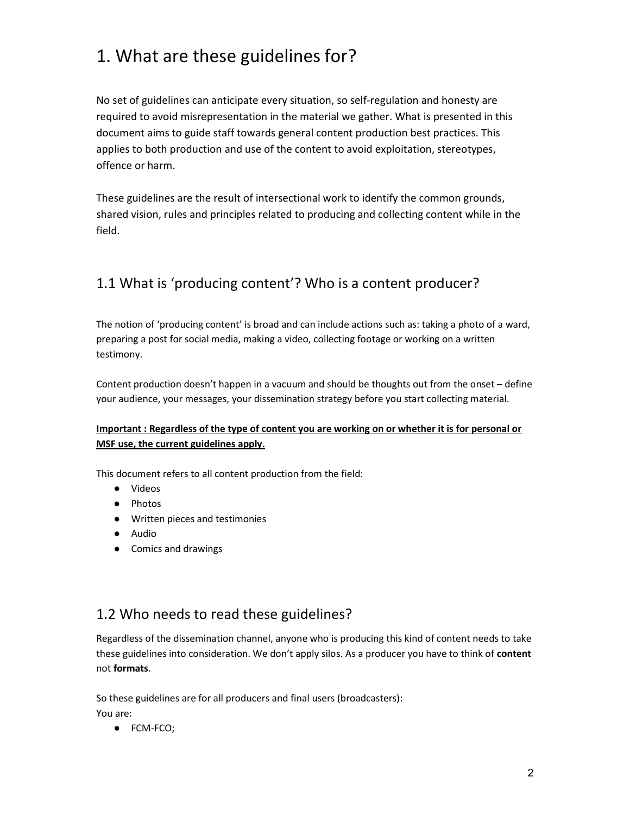# 1. What are these guidelines for?

No set of guidelines can anticipate every situation, so self-regulation and honesty are required to avoid misrepresentation in the material we gather. What is presented in this document aims to guide staff towards general content production best practices. This applies to both production and use of the content to avoid exploitation, stereotypes, offence or harm.

These guidelines are the result of intersectional work to identify the common grounds, shared vision, rules and principles related to producing and collecting content while in the field.

## 1.1 What is 'producing content'? Who is a content producer?

The notion of 'producing content' is broad and can include actions such as: taking a photo of a ward, preparing a post for social media, making a video, collecting footage or working on a written testimony.

Content production doesn't happen in a vacuum and should be thoughts out from the onset – define your audience, your messages, your dissemination strategy before you start collecting material.

## Important : Regardless of the type of content you are working on or whether it is for personal or MSF use, the current guidelines apply.

This document refers to all content production from the field:

- Videos
- Photos
- Written pieces and testimonies
- Audio
- Comics and drawings

## 1.2 Who needs to read these guidelines?

Regardless of the dissemination channel, anyone who is producing this kind of content needs to take these guidelines into consideration. We don't apply silos. As a producer you have to think of content not formats.

So these guidelines are for all producers and final users (broadcasters): You are:

● FCM-FCO;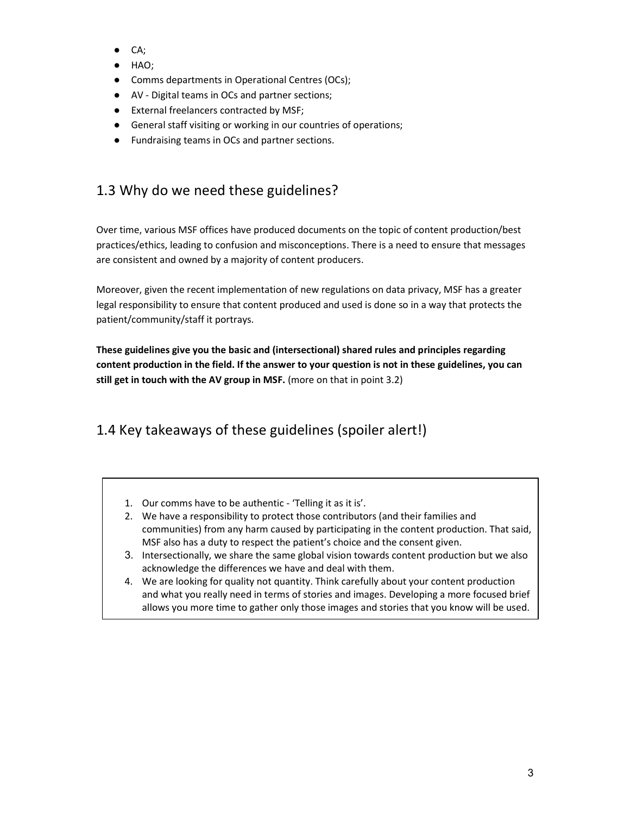- CA;
- HAO;
- Comms departments in Operational Centres (OCs);
- AV Digital teams in OCs and partner sections;
- External freelancers contracted by MSF;
- General staff visiting or working in our countries of operations;
- Fundraising teams in OCs and partner sections.

# 1.3 Why do we need these guidelines?

Over time, various MSF offices have produced documents on the topic of content production/best practices/ethics, leading to confusion and misconceptions. There is a need to ensure that messages are consistent and owned by a majority of content producers.

Moreover, given the recent implementation of new regulations on data privacy, MSF has a greater legal responsibility to ensure that content produced and used is done so in a way that protects the patient/community/staff it portrays.

These guidelines give you the basic and (intersectional) shared rules and principles regarding content production in the field. If the answer to your question is not in these guidelines, you can still get in touch with the AV group in MSF. (more on that in point 3.2)

# 1.4 Key takeaways of these guidelines (spoiler alert!)

- 1. Our comms have to be authentic 'Telling it as it is'.
- 2. We have a responsibility to protect those contributors (and their families and communities) from any harm caused by participating in the content production. That said, MSF also has a duty to respect the patient's choice and the consent given.
- 3. Intersectionally, we share the same global vision towards content production but we also acknowledge the differences we have and deal with them.
- 4. We are looking for quality not quantity. Think carefully about your content production and what you really need in terms of stories and images. Developing a more focused brief allows you more time to gather only those images and stories that you know will be used.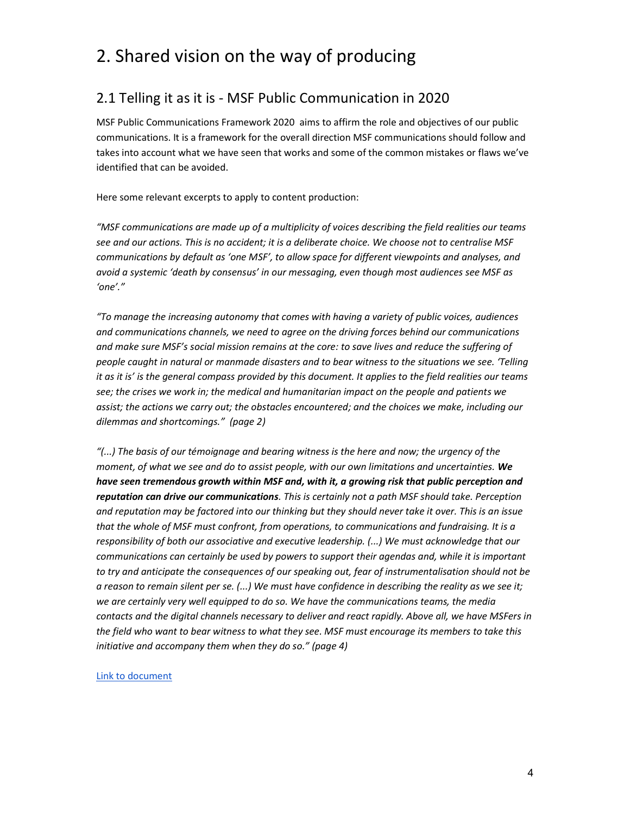# 2. Shared vision on the way of producing

## 2.1 Telling it as it is - MSF Public Communication in 2020

MSF Public Communications Framework 2020 aims to affirm the role and objectives of our public communications. It is a framework for the overall direction MSF communications should follow and takes into account what we have seen that works and some of the common mistakes or flaws we've identified that can be avoided.

Here some relevant excerpts to apply to content production:

"MSF communications are made up of a multiplicity of voices describing the field realities our teams see and our actions. This is no accident; it is a deliberate choice. We choose not to centralise MSF communications by default as 'one MSF', to allow space for different viewpoints and analyses, and avoid a systemic 'death by consensus' in our messaging, even though most audiences see MSF as 'one'."

"To manage the increasing autonomy that comes with having a variety of public voices, audiences and communications channels, we need to agree on the driving forces behind our communications and make sure MSF's social mission remains at the core: to save lives and reduce the suffering of people caught in natural or manmade disasters and to bear witness to the situations we see. 'Telling it as it is' is the general compass provided by this document. It applies to the field realities our teams see; the crises we work in; the medical and humanitarian impact on the people and patients we assist; the actions we carry out; the obstacles encountered; and the choices we make, including our dilemmas and shortcomings." (page 2)

"(...) The basis of our témoignage and bearing witness is the here and now; the urgency of the moment, of what we see and do to assist people, with our own limitations and uncertainties. We have seen tremendous growth within MSF and, with it, a growing risk that public perception and reputation can drive our communications. This is certainly not a path MSF should take. Perception and reputation may be factored into our thinking but they should never take it over. This is an issue that the whole of MSF must confront, from operations, to communications and fundraising. It is a responsibility of both our associative and executive leadership. (...) We must acknowledge that our communications can certainly be used by powers to support their agendas and, while it is important to try and anticipate the consequences of our speaking out, fear of instrumentalisation should not be a reason to remain silent per se. (...) We must have confidence in describing the reality as we see it; we are certainly very well equipped to do so. We have the communications teams, the media contacts and the digital channels necessary to deliver and react rapidly. Above all, we have MSFers in the field who want to bear witness to what they see. MSF must encourage its members to take this initiative and accompany them when they do so." (page 4)

Link to document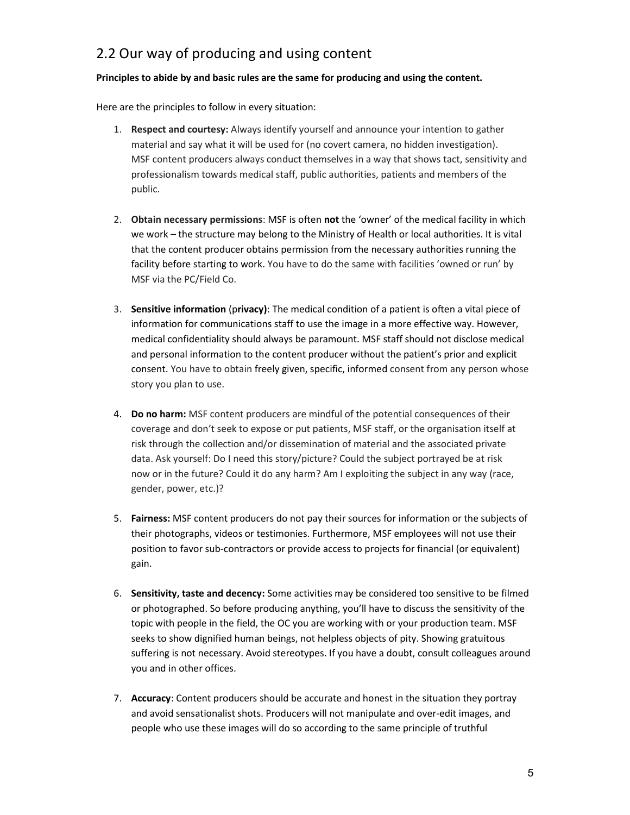# 2.2 Our way of producing and using content

#### Principles to abide by and basic rules are the same for producing and using the content.

Here are the principles to follow in every situation:

- 1. Respect and courtesy: Always identify yourself and announce your intention to gather material and say what it will be used for (no covert camera, no hidden investigation). MSF content producers always conduct themselves in a way that shows tact, sensitivity and professionalism towards medical staff, public authorities, patients and members of the public.
- 2. Obtain necessary permissions: MSF is often not the 'owner' of the medical facility in which we work – the structure may belong to the Ministry of Health or local authorities. It is vital that the content producer obtains permission from the necessary authorities running the facility before starting to work. You have to do the same with facilities 'owned or run' by MSF via the PC/Field Co.
- 3. Sensitive information (privacy): The medical condition of a patient is often a vital piece of information for communications staff to use the image in a more effective way. However, medical confidentiality should always be paramount. MSF staff should not disclose medical and personal information to the content producer without the patient's prior and explicit consent. You have to obtain freely given, specific, informed consent from any person whose story you plan to use.
- 4. Do no harm: MSF content producers are mindful of the potential consequences of their coverage and don't seek to expose or put patients, MSF staff, or the organisation itself at risk through the collection and/or dissemination of material and the associated private data. Ask yourself: Do I need this story/picture? Could the subject portrayed be at risk now or in the future? Could it do any harm? Am I exploiting the subject in any way (race, gender, power, etc.)?
- 5. Fairness: MSF content producers do not pay their sources for information or the subjects of their photographs, videos or testimonies. Furthermore, MSF employees will not use their position to favor sub-contractors or provide access to projects for financial (or equivalent) gain.
- 6. Sensitivity, taste and decency: Some activities may be considered too sensitive to be filmed or photographed. So before producing anything, you'll have to discuss the sensitivity of the topic with people in the field, the OC you are working with or your production team. MSF seeks to show dignified human beings, not helpless objects of pity. Showing gratuitous suffering is not necessary. Avoid stereotypes. If you have a doubt, consult colleagues around you and in other offices.
- 7. Accuracy: Content producers should be accurate and honest in the situation they portray and avoid sensationalist shots. Producers will not manipulate and over-edit images, and people who use these images will do so according to the same principle of truthful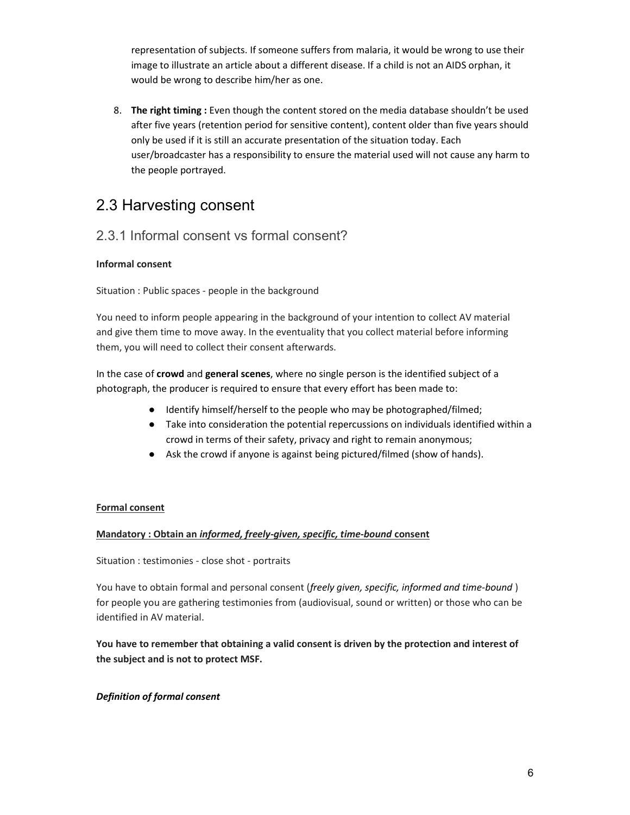representation of subjects. If someone suffers from malaria, it would be wrong to use their image to illustrate an article about a different disease. If a child is not an AIDS orphan, it would be wrong to describe him/her as one.

8. The right timing : Even though the content stored on the media database shouldn't be used after five years (retention period for sensitive content), content older than five years should only be used if it is still an accurate presentation of the situation today. Each user/broadcaster has a responsibility to ensure the material used will not cause any harm to the people portrayed.

# 2.3 Harvesting consent

## 2.3.1 Informal consent vs formal consent?

## Informal consent

Situation : Public spaces - people in the background

You need to inform people appearing in the background of your intention to collect AV material and give them time to move away. In the eventuality that you collect material before informing them, you will need to collect their consent afterwards.

In the case of crowd and general scenes, where no single person is the identified subject of a photograph, the producer is required to ensure that every effort has been made to:

- Identify himself/herself to the people who may be photographed/filmed;
- Take into consideration the potential repercussions on individuals identified within a crowd in terms of their safety, privacy and right to remain anonymous;
- Ask the crowd if anyone is against being pictured/filmed (show of hands).

## Formal consent

## Mandatory : Obtain an informed, freely-given, specific, time-bound consent

Situation : testimonies - close shot - portraits

You have to obtain formal and personal consent (freely given, specific, informed and time-bound) for people you are gathering testimonies from (audiovisual, sound or written) or those who can be identified in AV material.

You have to remember that obtaining a valid consent is driven by the protection and interest of the subject and is not to protect MSF.

## Definition of formal consent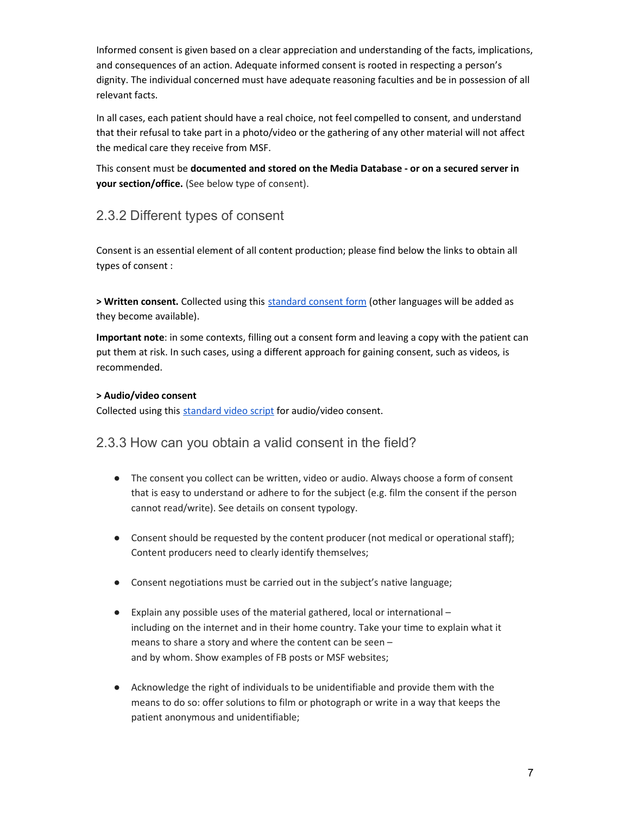Informed consent is given based on a clear appreciation and understanding of the facts, implications, and consequences of an action. Adequate informed consent is rooted in respecting a person's dignity. The individual concerned must have adequate reasoning faculties and be in possession of all relevant facts.

In all cases, each patient should have a real choice, not feel compelled to consent, and understand that their refusal to take part in a photo/video or the gathering of any other material will not affect the medical care they receive from MSF.

This consent must be documented and stored on the Media Database - or on a secured server in your section/office. (See below type of consent).

## 2.3.2 Different types of consent

Consent is an essential element of all content production; please find below the links to obtain all types of consent :

> Written consent. Collected using this standard consent form (other languages will be added as they become available).

Important note: in some contexts, filling out a consent form and leaving a copy with the patient can put them at risk. In such cases, using a different approach for gaining consent, such as videos, is recommended.

### > Audio/video consent

Collected using this standard video script for audio/video consent.

## 2.3.3 How can you obtain a valid consent in the field?

- The consent you collect can be written, video or audio. Always choose a form of consent that is easy to understand or adhere to for the subject (e.g. film the consent if the person cannot read/write). See details on consent typology.
- Consent should be requested by the content producer (not medical or operational staff); Content producers need to clearly identify themselves;
- Consent negotiations must be carried out in the subject's native language;
- Explain any possible uses of the material gathered, local or international including on the internet and in their home country. Take your time to explain what it means to share a story and where the content can be seen – and by whom. Show examples of FB posts or MSF websites;
- Acknowledge the right of individuals to be unidentifiable and provide them with the means to do so: offer solutions to film or photograph or write in a way that keeps the patient anonymous and unidentifiable;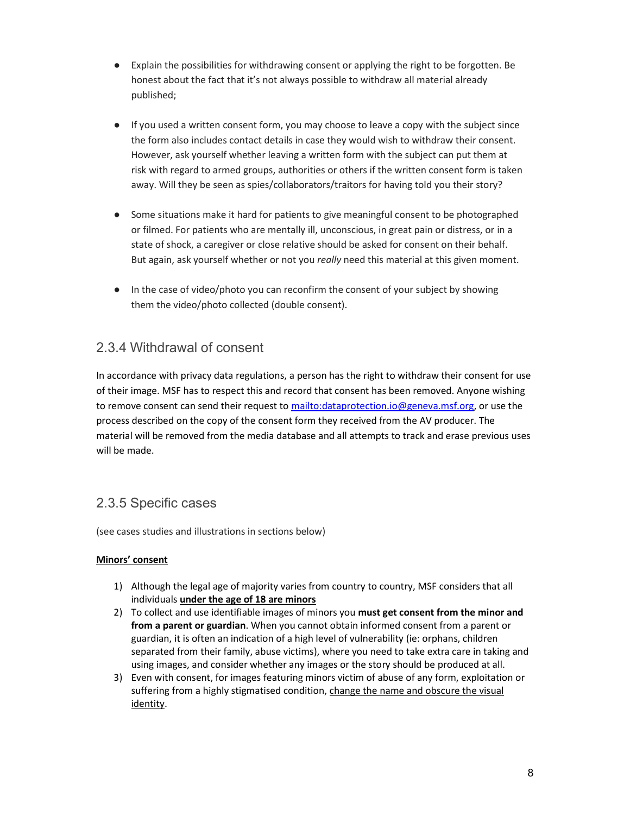- Explain the possibilities for withdrawing consent or applying the right to be forgotten. Be honest about the fact that it's not always possible to withdraw all material already published;
- If you used a written consent form, you may choose to leave a copy with the subject since the form also includes contact details in case they would wish to withdraw their consent. However, ask yourself whether leaving a written form with the subject can put them at risk with regard to armed groups, authorities or others if the written consent form is taken away. Will they be seen as spies/collaborators/traitors for having told you their story?
- Some situations make it hard for patients to give meaningful consent to be photographed or filmed. For patients who are mentally ill, unconscious, in great pain or distress, or in a state of shock, a caregiver or close relative should be asked for consent on their behalf. But again, ask yourself whether or not you really need this material at this given moment.
- In the case of video/photo you can reconfirm the consent of your subject by showing them the video/photo collected (double consent).

## 2.3.4 Withdrawal of consent

In accordance with privacy data regulations, a person has the right to withdraw their consent for use of their image. MSF has to respect this and record that consent has been removed. Anyone wishing to remove consent can send their request to mailto:dataprotection.io@geneva.msf.org, or use the process described on the copy of the consent form they received from the AV producer. The material will be removed from the media database and all attempts to track and erase previous uses will be made.

## 2.3.5 Specific cases

(see cases studies and illustrations in sections below)

## Minors' consent

- 1) Although the legal age of majority varies from country to country, MSF considers that all individuals *under the age of 18 are minors*
- 2) To collect and use identifiable images of minors you must get consent from the minor and from a parent or guardian. When you cannot obtain informed consent from a parent or guardian, it is often an indication of a high level of vulnerability (ie: orphans, children separated from their family, abuse victims), where you need to take extra care in taking and using images, and consider whether any images or the story should be produced at all.
- 3) Even with consent, for images featuring minors victim of abuse of any form, exploitation or suffering from a highly stigmatised condition, change the name and obscure the visual identity.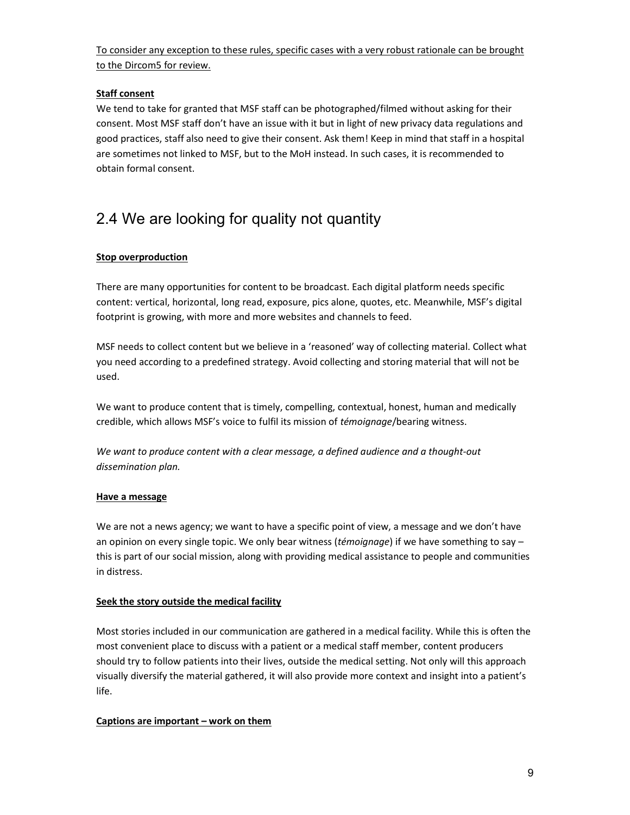To consider any exception to these rules, specific cases with a very robust rationale can be brought to the Dircom5 for review.

### Staff consent

We tend to take for granted that MSF staff can be photographed/filmed without asking for their consent. Most MSF staff don't have an issue with it but in light of new privacy data regulations and good practices, staff also need to give their consent. Ask them! Keep in mind that staff in a hospital are sometimes not linked to MSF, but to the MoH instead. In such cases, it is recommended to obtain formal consent.

# 2.4 We are looking for quality not quantity

## Stop overproduction

There are many opportunities for content to be broadcast. Each digital platform needs specific content: vertical, horizontal, long read, exposure, pics alone, quotes, etc. Meanwhile, MSF's digital footprint is growing, with more and more websites and channels to feed.

MSF needs to collect content but we believe in a 'reasoned' way of collecting material. Collect what you need according to a predefined strategy. Avoid collecting and storing material that will not be used.

We want to produce content that is timely, compelling, contextual, honest, human and medically credible, which allows MSF's voice to fulfil its mission of témoignage/bearing witness.

We want to produce content with a clear message, a defined audience and a thought-out dissemination plan.

### Have a message

We are not a news agency; we want to have a specific point of view, a message and we don't have an opinion on every single topic. We only bear witness (témoignage) if we have something to say  $$ this is part of our social mission, along with providing medical assistance to people and communities in distress.

### Seek the story outside the medical facility

Most stories included in our communication are gathered in a medical facility. While this is often the most convenient place to discuss with a patient or a medical staff member, content producers should try to follow patients into their lives, outside the medical setting. Not only will this approach visually diversify the material gathered, it will also provide more context and insight into a patient's life.

### Captions are important – work on them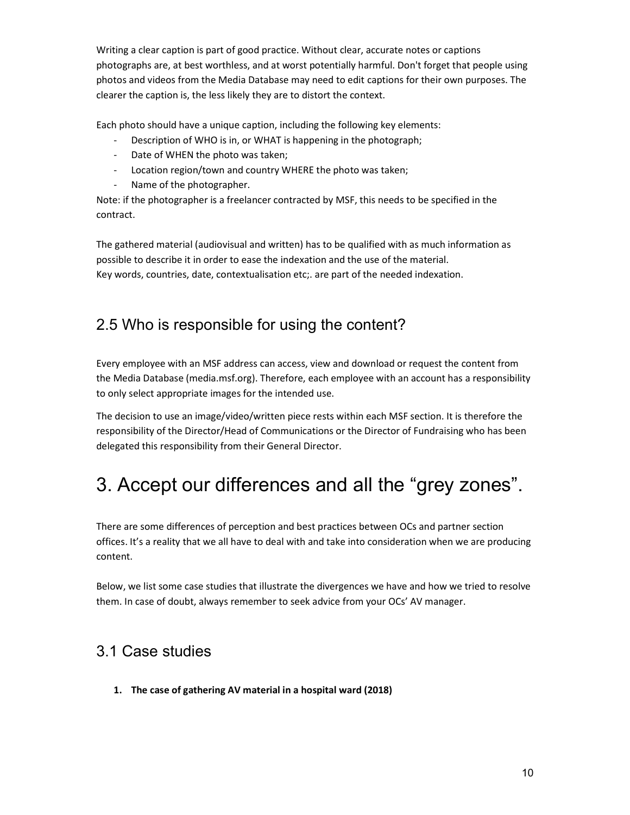Writing a clear caption is part of good practice. Without clear, accurate notes or captions photographs are, at best worthless, and at worst potentially harmful. Don't forget that people using photos and videos from the Media Database may need to edit captions for their own purposes. The clearer the caption is, the less likely they are to distort the context.

Each photo should have a unique caption, including the following key elements:

- Description of WHO is in, or WHAT is happening in the photograph;
- Date of WHEN the photo was taken;
- Location region/town and country WHERE the photo was taken;
- Name of the photographer.

Note: if the photographer is a freelancer contracted by MSF, this needs to be specified in the contract.

The gathered material (audiovisual and written) has to be qualified with as much information as possible to describe it in order to ease the indexation and the use of the material. Key words, countries, date, contextualisation etc;. are part of the needed indexation.

# 2.5 Who is responsible for using the content?

Every employee with an MSF address can access, view and download or request the content from the Media Database (media.msf.org). Therefore, each employee with an account has a responsibility to only select appropriate images for the intended use.

The decision to use an image/video/written piece rests within each MSF section. It is therefore the responsibility of the Director/Head of Communications or the Director of Fundraising who has been delegated this responsibility from their General Director.

# 3. Accept our differences and all the "grey zones".

There are some differences of perception and best practices between OCs and partner section offices. It's a reality that we all have to deal with and take into consideration when we are producing content.

Below, we list some case studies that illustrate the divergences we have and how we tried to resolve them. In case of doubt, always remember to seek advice from your OCs' AV manager.

# 3.1 Case studies

1. The case of gathering AV material in a hospital ward (2018)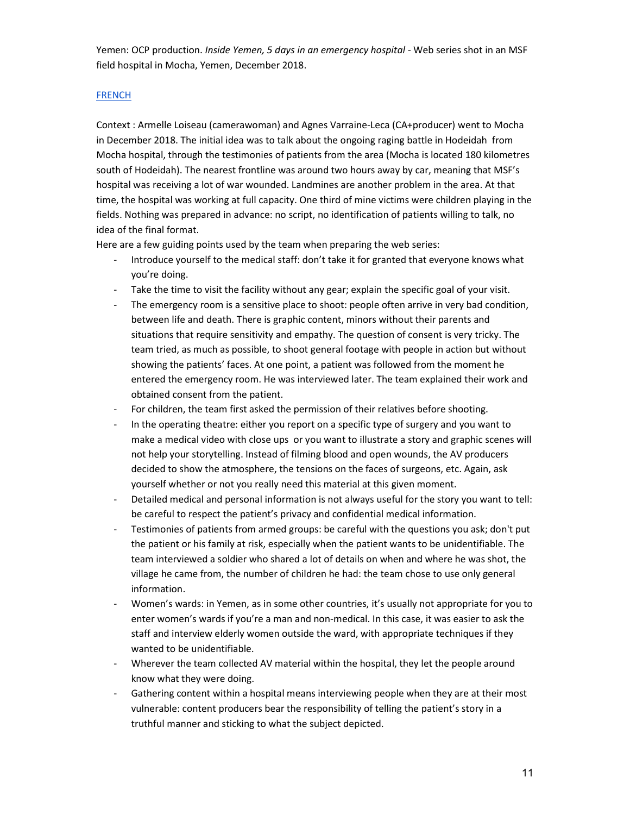Yemen: OCP production. Inside Yemen, 5 days in an emergency hospital - Web series shot in an MSF field hospital in Mocha, Yemen, December 2018.

#### **FRENCH**

Context : Armelle Loiseau (camerawoman) and Agnes Varraine-Leca (CA+producer) went to Mocha in December 2018. The initial idea was to talk about the ongoing raging battle in Hodeidah from Mocha hospital, through the testimonies of patients from the area (Mocha is located 180 kilometres south of Hodeidah). The nearest frontline was around two hours away by car, meaning that MSF's hospital was receiving a lot of war wounded. Landmines are another problem in the area. At that time, the hospital was working at full capacity. One third of mine victims were children playing in the fields. Nothing was prepared in advance: no script, no identification of patients willing to talk, no idea of the final format.

Here are a few guiding points used by the team when preparing the web series:

- Introduce yourself to the medical staff: don't take it for granted that everyone knows what you're doing.
- Take the time to visit the facility without any gear; explain the specific goal of your visit.
- The emergency room is a sensitive place to shoot: people often arrive in very bad condition, between life and death. There is graphic content, minors without their parents and situations that require sensitivity and empathy. The question of consent is very tricky. The team tried, as much as possible, to shoot general footage with people in action but without showing the patients' faces. At one point, a patient was followed from the moment he entered the emergency room. He was interviewed later. The team explained their work and obtained consent from the patient.
- For children, the team first asked the permission of their relatives before shooting.
- In the operating theatre: either you report on a specific type of surgery and you want to make a medical video with close ups or you want to illustrate a story and graphic scenes will not help your storytelling. Instead of filming blood and open wounds, the AV producers decided to show the atmosphere, the tensions on the faces of surgeons, etc. Again, ask yourself whether or not you really need this material at this given moment.
- Detailed medical and personal information is not always useful for the story you want to tell: be careful to respect the patient's privacy and confidential medical information.
- Testimonies of patients from armed groups: be careful with the questions you ask; don't put the patient or his family at risk, especially when the patient wants to be unidentifiable. The team interviewed a soldier who shared a lot of details on when and where he was shot, the village he came from, the number of children he had: the team chose to use only general information.
- Women's wards: in Yemen, as in some other countries, it's usually not appropriate for you to enter women's wards if you're a man and non-medical. In this case, it was easier to ask the staff and interview elderly women outside the ward, with appropriate techniques if they wanted to be unidentifiable.
- Wherever the team collected AV material within the hospital, they let the people around know what they were doing.
- Gathering content within a hospital means interviewing people when they are at their most vulnerable: content producers bear the responsibility of telling the patient's story in a truthful manner and sticking to what the subject depicted.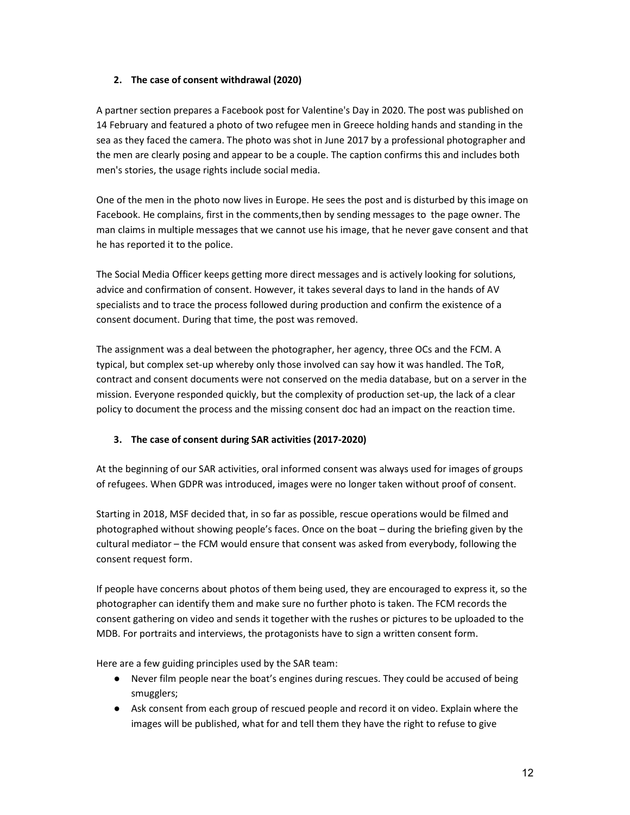### 2. The case of consent withdrawal (2020)

A partner section prepares a Facebook post for Valentine's Day in 2020. The post was published on 14 February and featured a photo of two refugee men in Greece holding hands and standing in the sea as they faced the camera. The photo was shot in June 2017 by a professional photographer and the men are clearly posing and appear to be a couple. The caption confirms this and includes both men's stories, the usage rights include social media.

One of the men in the photo now lives in Europe. He sees the post and is disturbed by this image on Facebook. He complains, first in the comments,then by sending messages to the page owner. The man claims in multiple messages that we cannot use his image, that he never gave consent and that he has reported it to the police.

The Social Media Officer keeps getting more direct messages and is actively looking for solutions, advice and confirmation of consent. However, it takes several days to land in the hands of AV specialists and to trace the process followed during production and confirm the existence of a consent document. During that time, the post was removed.

The assignment was a deal between the photographer, her agency, three OCs and the FCM. A typical, but complex set-up whereby only those involved can say how it was handled. The ToR, contract and consent documents were not conserved on the media database, but on a server in the mission. Everyone responded quickly, but the complexity of production set-up, the lack of a clear policy to document the process and the missing consent doc had an impact on the reaction time.

## 3. The case of consent during SAR activities (2017-2020)

At the beginning of our SAR activities, oral informed consent was always used for images of groups of refugees. When GDPR was introduced, images were no longer taken without proof of consent.

Starting in 2018, MSF decided that, in so far as possible, rescue operations would be filmed and photographed without showing people's faces. Once on the boat – during the briefing given by the cultural mediator – the FCM would ensure that consent was asked from everybody, following the consent request form.

If people have concerns about photos of them being used, they are encouraged to express it, so the photographer can identify them and make sure no further photo is taken. The FCM records the consent gathering on video and sends it together with the rushes or pictures to be uploaded to the MDB. For portraits and interviews, the protagonists have to sign a written consent form.

Here are a few guiding principles used by the SAR team:

- Never film people near the boat's engines during rescues. They could be accused of being smugglers;
- Ask consent from each group of rescued people and record it on video. Explain where the images will be published, what for and tell them they have the right to refuse to give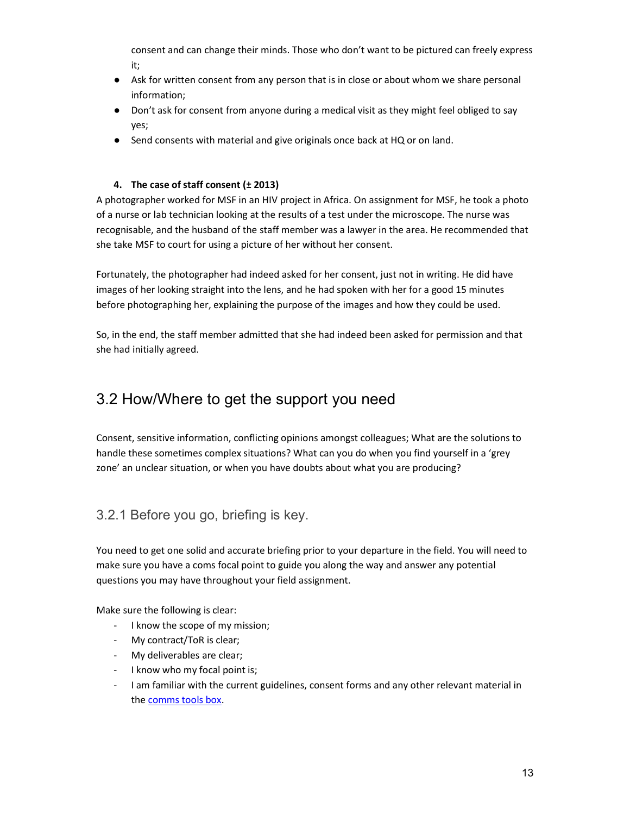consent and can change their minds. Those who don't want to be pictured can freely express it;

- Ask for written consent from any person that is in close or about whom we share personal information;
- Don't ask for consent from anyone during a medical visit as they might feel obliged to say yes;
- Send consents with material and give originals once back at HQ or on land.

### 4. The case of staff consent (± 2013)

A photographer worked for MSF in an HIV project in Africa. On assignment for MSF, he took a photo of a nurse or lab technician looking at the results of a test under the microscope. The nurse was recognisable, and the husband of the staff member was a lawyer in the area. He recommended that she take MSF to court for using a picture of her without her consent.

Fortunately, the photographer had indeed asked for her consent, just not in writing. He did have images of her looking straight into the lens, and he had spoken with her for a good 15 minutes before photographing her, explaining the purpose of the images and how they could be used.

So, in the end, the staff member admitted that she had indeed been asked for permission and that she had initially agreed.

# 3.2 How/Where to get the support you need

Consent, sensitive information, conflicting opinions amongst colleagues; What are the solutions to handle these sometimes complex situations? What can you do when you find yourself in a 'grey zone' an unclear situation, or when you have doubts about what you are producing?

## 3.2.1 Before you go, briefing is key.

You need to get one solid and accurate briefing prior to your departure in the field. You will need to make sure you have a coms focal point to guide you along the way and answer any potential questions you may have throughout your field assignment.

Make sure the following is clear:

- I know the scope of my mission;
- My contract/ToR is clear;
- My deliverables are clear;
- I know who my focal point is;
- I am familiar with the current guidelines, consent forms and any other relevant material in the comms tools box.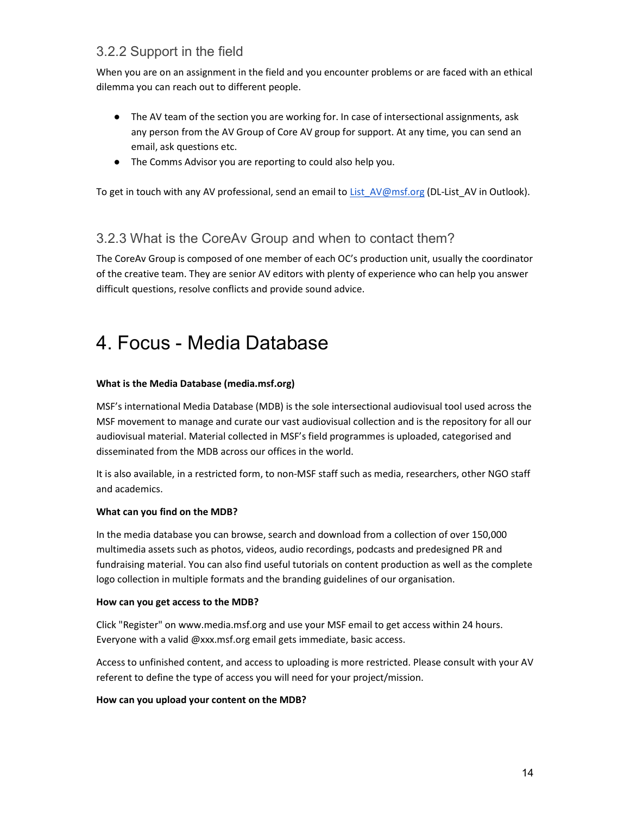## 3.2.2 Support in the field

When you are on an assignment in the field and you encounter problems or are faced with an ethical dilemma you can reach out to different people.

- The AV team of the section you are working for. In case of intersectional assignments, ask any person from the AV Group of Core AV group for support. At any time, you can send an email, ask questions etc.
- The Comms Advisor you are reporting to could also help you.

To get in touch with any AV professional, send an email to List AV@msf.org (DL-List\_AV in Outlook).

## 3.2.3 What is the CoreAv Group and when to contact them?

The CoreAv Group is composed of one member of each OC's production unit, usually the coordinator of the creative team. They are senior AV editors with plenty of experience who can help you answer difficult questions, resolve conflicts and provide sound advice.

# 4. Focus - Media Database

#### What is the Media Database (media.msf.org)

MSF's international Media Database (MDB) is the sole intersectional audiovisual tool used across the MSF movement to manage and curate our vast audiovisual collection and is the repository for all our audiovisual material. Material collected in MSF's field programmes is uploaded, categorised and disseminated from the MDB across our offices in the world.

It is also available, in a restricted form, to non-MSF staff such as media, researchers, other NGO staff and academics.

#### What can you find on the MDB?

In the media database you can browse, search and download from a collection of over 150,000 multimedia assets such as photos, videos, audio recordings, podcasts and predesigned PR and fundraising material. You can also find useful tutorials on content production as well as the complete logo collection in multiple formats and the branding guidelines of our organisation.

#### How can you get access to the MDB?

Click "Register" on www.media.msf.org and use your MSF email to get access within 24 hours. Everyone with a valid @xxx.msf.org email gets immediate, basic access.

Access to unfinished content, and access to uploading is more restricted. Please consult with your AV referent to define the type of access you will need for your project/mission.

#### How can you upload your content on the MDB?